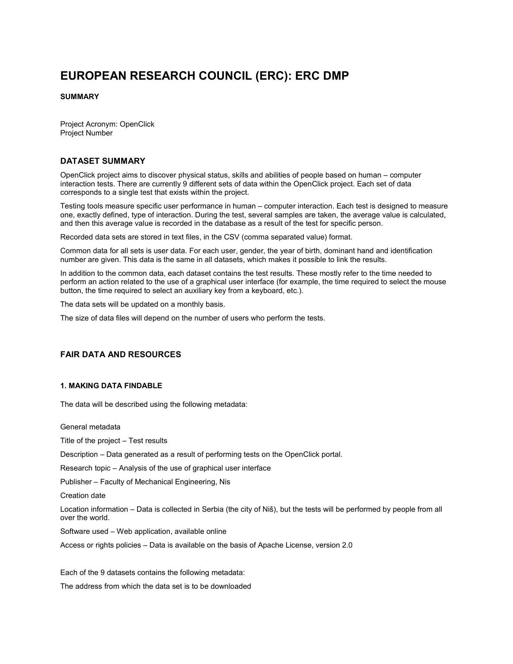# EUROPEAN RESEARCH COUNCIL (ERC): ERC DMP

### SUMMARY

Project Acronym: OpenClick Project Number

## DATASET SUMMARY

OpenClick project aims to discover physical status, skills and abilities of people based on human – computer interaction tests. There are currently 9 different sets of data within the OpenClick project. Each set of data corresponds to a single test that exists within the project.

Testing tools measure specific user performance in human – computer interaction. Each test is designed to measure one, exactly defined, type of interaction. During the test, several samples are taken, the average value is calculated, and then this average value is recorded in the database as a result of the test for specific person.

Recorded data sets are stored in text files, in the CSV (comma separated value) format.

Common data for all sets is user data. For each user, gender, the year of birth, dominant hand and identification number are given. This data is the same in all datasets, which makes it possible to link the results.

In addition to the common data, each dataset contains the test results. These mostly refer to the time needed to perform an action related to the use of a graphical user interface (for example, the time required to select the mouse button, the time required to select an auxiliary key from a keyboard, etc.).

The data sets will be updated on a monthly basis.

The size of data files will depend on the number of users who perform the tests.

# FAIR DATA AND RESOURCES

#### 1. MAKING DATA FINDABLE

The data will be described using the following metadata:

General metadata

Title of the project – Test results

Description – Data generated as a result of performing tests on the OpenClick portal.

Research topic – Analysis of the use of graphical user interface

Publisher – Faculty of Mechanical Engineering, Nis

Creation date

Location information – Data is collected in Serbia (the city of Niš), but the tests will be performed by people from all over the world.

Software used – Web application, available online

Access or rights policies – Data is available on the basis of Apache License, version 2.0

Each of the 9 datasets contains the following metadata:

The address from which the data set is to be downloaded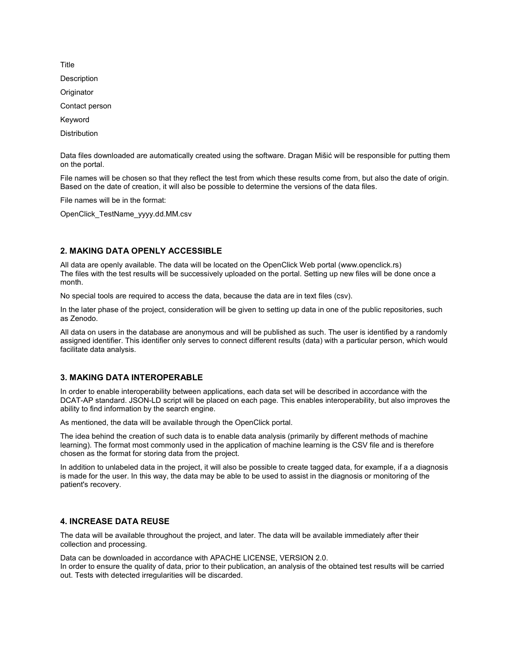Description **Originator** Contact person Keyword **Distribution** 

Data files downloaded are automatically created using the software. Dragan Mišić will be responsible for putting them on the portal.

File names will be chosen so that they reflect the test from which these results come from, but also the date of origin. Based on the date of creation, it will also be possible to determine the versions of the data files.

File names will be in the format:

OpenClick\_TestName\_yyyy.dd.MM.csv

## 2. MAKING DATA OPENLY ACCESSIBLE

All data are openly available. The data will be located on the OpenClick Web portal (www.openclick.rs) The files with the test results will be successively uploaded on the portal. Setting up new files will be done once a month.

No special tools are required to access the data, because the data are in text files (csv).

In the later phase of the project, consideration will be given to setting up data in one of the public repositories, such as Zenodo.

All data on users in the database are anonymous and will be published as such. The user is identified by a randomly assigned identifier. This identifier only serves to connect different results (data) with a particular person, which would facilitate data analysis.

## 3. MAKING DATA INTEROPERABLE

In order to enable interoperability between applications, each data set will be described in accordance with the DCAT-AP standard. JSON-LD script will be placed on each page. This enables interoperability, but also improves the ability to find information by the search engine.

As mentioned, the data will be available through the OpenClick portal.

The idea behind the creation of such data is to enable data analysis (primarily by different methods of machine learning). The format most commonly used in the application of machine learning is the CSV file and is therefore chosen as the format for storing data from the project.

In addition to unlabeled data in the project, it will also be possible to create tagged data, for example, if a a diagnosis is made for the user. In this way, the data may be able to be used to assist in the diagnosis or monitoring of the patient's recovery.

# 4. INCREASE DATA REUSE

The data will be available throughout the project, and later. The data will be available immediately after their collection and processing.

Data can be downloaded in accordance with APACHE LICENSE, VERSION 2.0.

In order to ensure the quality of data, prior to their publication, an analysis of the obtained test results will be carried out. Tests with detected irregularities will be discarded.

Title